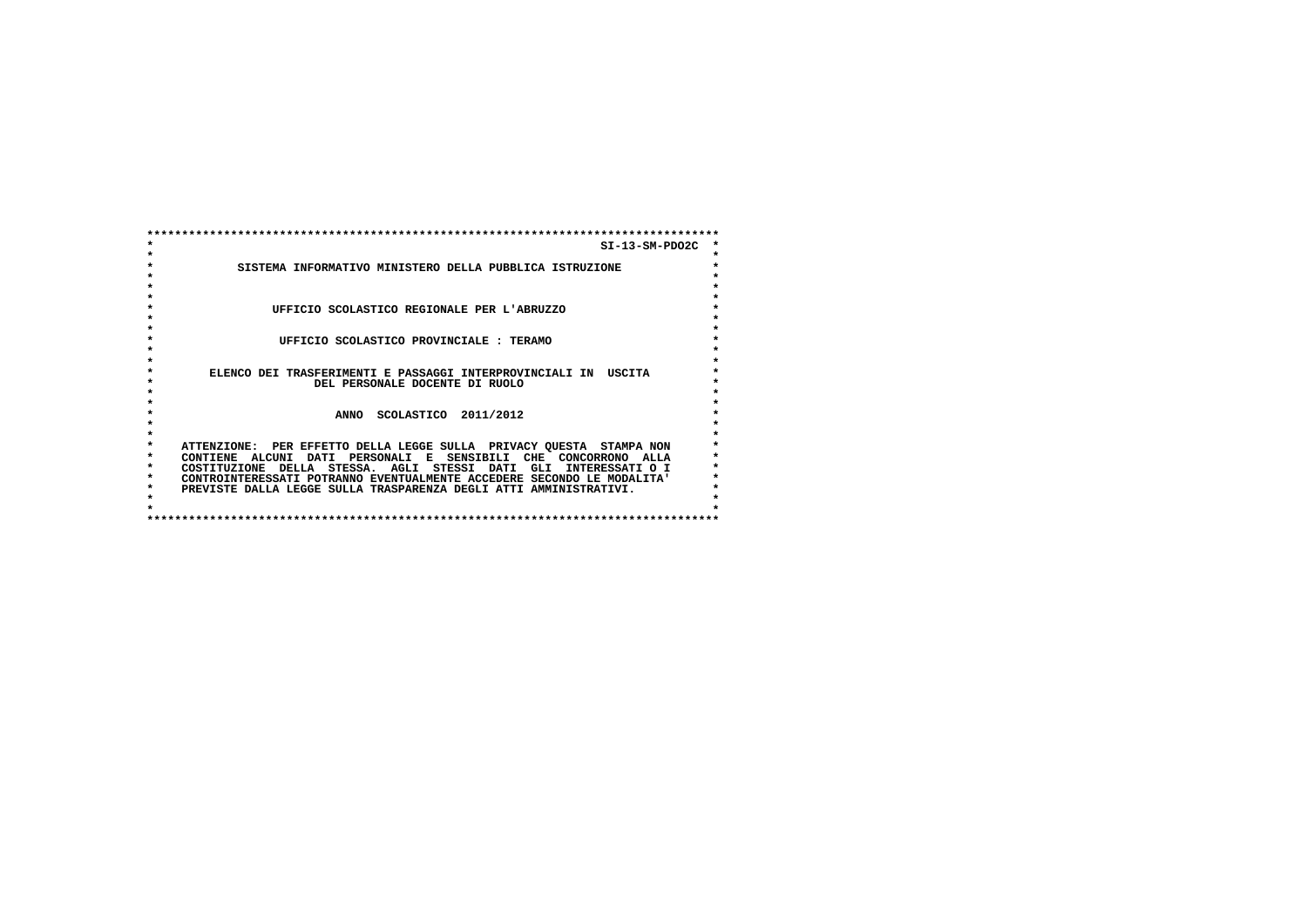|         | $SI-13-SM-PDO2C$                                                       |         |  |  |
|---------|------------------------------------------------------------------------|---------|--|--|
|         |                                                                        | $\star$ |  |  |
|         | SISTEMA INFORMATIVO MINISTERO DELLA PUBBLICA ISTRUZIONE                | $\star$ |  |  |
|         |                                                                        |         |  |  |
|         |                                                                        |         |  |  |
|         |                                                                        |         |  |  |
|         | UFFICIO SCOLASTICO REGIONALE PER L'ABRUZZO                             |         |  |  |
|         |                                                                        |         |  |  |
|         |                                                                        |         |  |  |
|         | UFFICIO SCOLASTICO PROVINCIALE: TERAMO                                 |         |  |  |
|         |                                                                        |         |  |  |
|         |                                                                        |         |  |  |
|         | ELENCO DEI TRASFERIMENTI E PASSAGGI INTERPROVINCIALI IN USCITA         |         |  |  |
|         | DEL PERSONALE DOCENTE DI RUOLO                                         |         |  |  |
|         |                                                                        |         |  |  |
|         |                                                                        |         |  |  |
|         | SCOLASTICO 2011/2012<br><b>ANNO</b>                                    |         |  |  |
|         |                                                                        |         |  |  |
|         |                                                                        |         |  |  |
| $\star$ | ATTENZIONE: PER EFFETTO DELLA LEGGE SULLA PRIVACY QUESTA STAMPA NON    |         |  |  |
| $\star$ | CONTIENE ALCUNI DATI PERSONALI E SENSIBILI CHE CONCORRONO ALLA         |         |  |  |
| $\star$ | STESSA. AGLI STESSI DATI GLI<br>COSTITUZIONE DELLA<br>INTERESSATI O I  |         |  |  |
| $\star$ | CONTROINTERESSATI POTRANNO EVENTUALMENTE ACCEDERE SECONDO LE MODALITA' |         |  |  |
| $\star$ | PREVISTE DALLA LEGGE SULLA TRASPARENZA DEGLI ATTI AMMINISTRATIVI.      |         |  |  |
|         |                                                                        |         |  |  |
|         |                                                                        |         |  |  |
|         |                                                                        |         |  |  |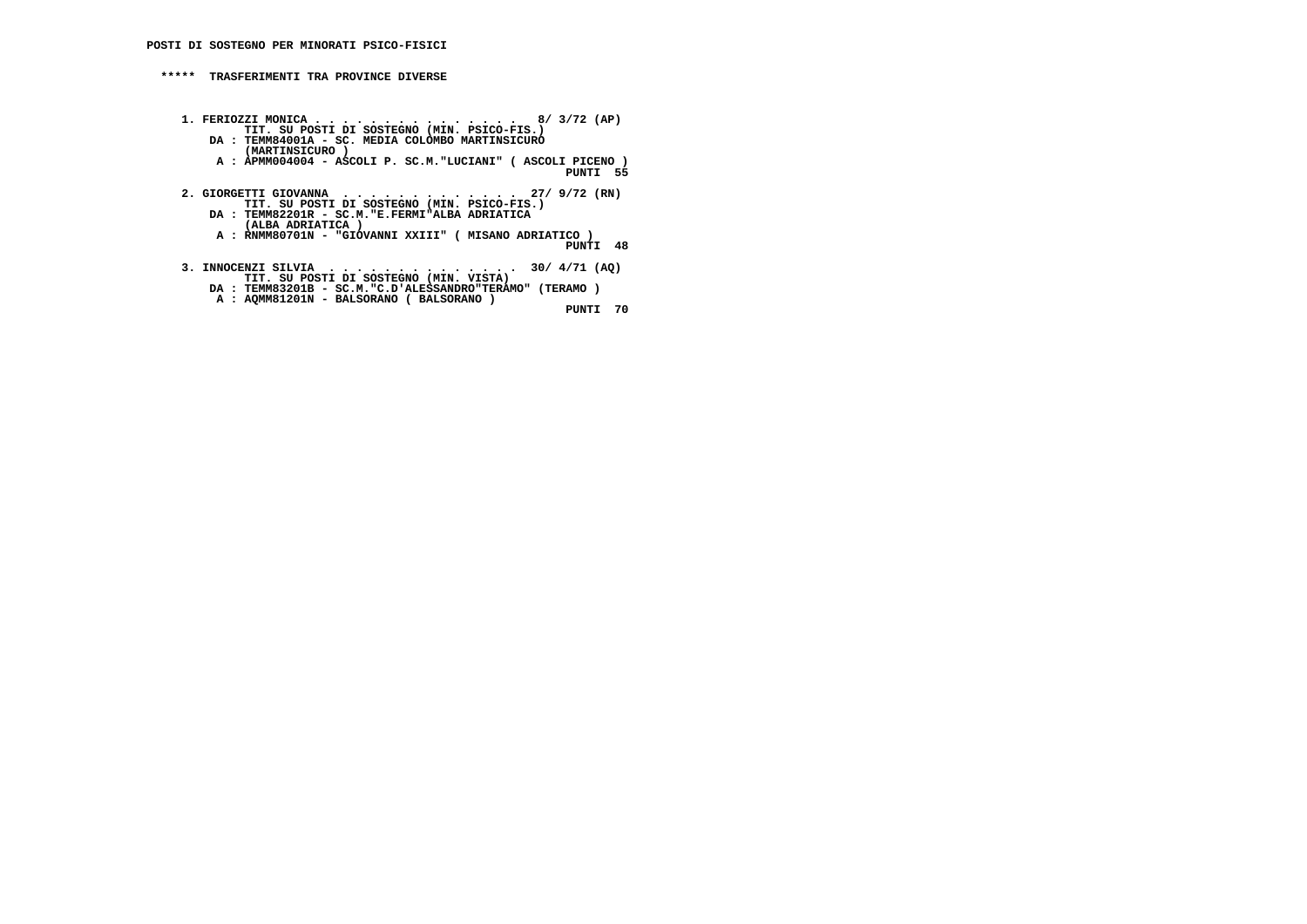## **\*\*\*\*\* TRASFERIMENTI TRA PROVINCE DIVERSE**

- **1. FERIOZZI MONICA . . . . . . . . . . . . . . . 8/ 3/72 (AP) TIT. SU POSTI DI SOSTEGNO (MIN. PSICO-FIS.) DA : TEMM84001A - SC. MEDIA COLOMBO MARTINSICURO (MARTINSICURO ) A : APMM004004 - ASCOLI P. SC.M."LUCIANI" ( ASCOLI PICENO ) PUNTI 55**
	- **2. GIORGETTI GIOVANNA . . . . . . . . . . . . . 27/ 9/72 (RN) TIT. SU POSTI DI SOSTEGNO (MIN. PSICO-FIS.) DA : TEMM82201R - SC.M."E.FERMI"ALBA ADRIATICA (ALBA ADRIATICA )**
- **A : RNMM80701N "GIOVANNI XXIII" ( MISANO ADRIATICO ) PUNTI 48**
- **3. INNOCENZI SILVIA . . . . . . . . . . . . . . 30/ 4/71 (AQ) TIT. SU POSTI DI SOSTEGNO (MIN. VISTA)**
- **DA : TEMM83201B SC.M."C.D'ALESSANDRO"TERAMO" (TERAMO ) A : AQMM81201N - BALSORANO ( BALSORANO )**

 **PUNTI 70**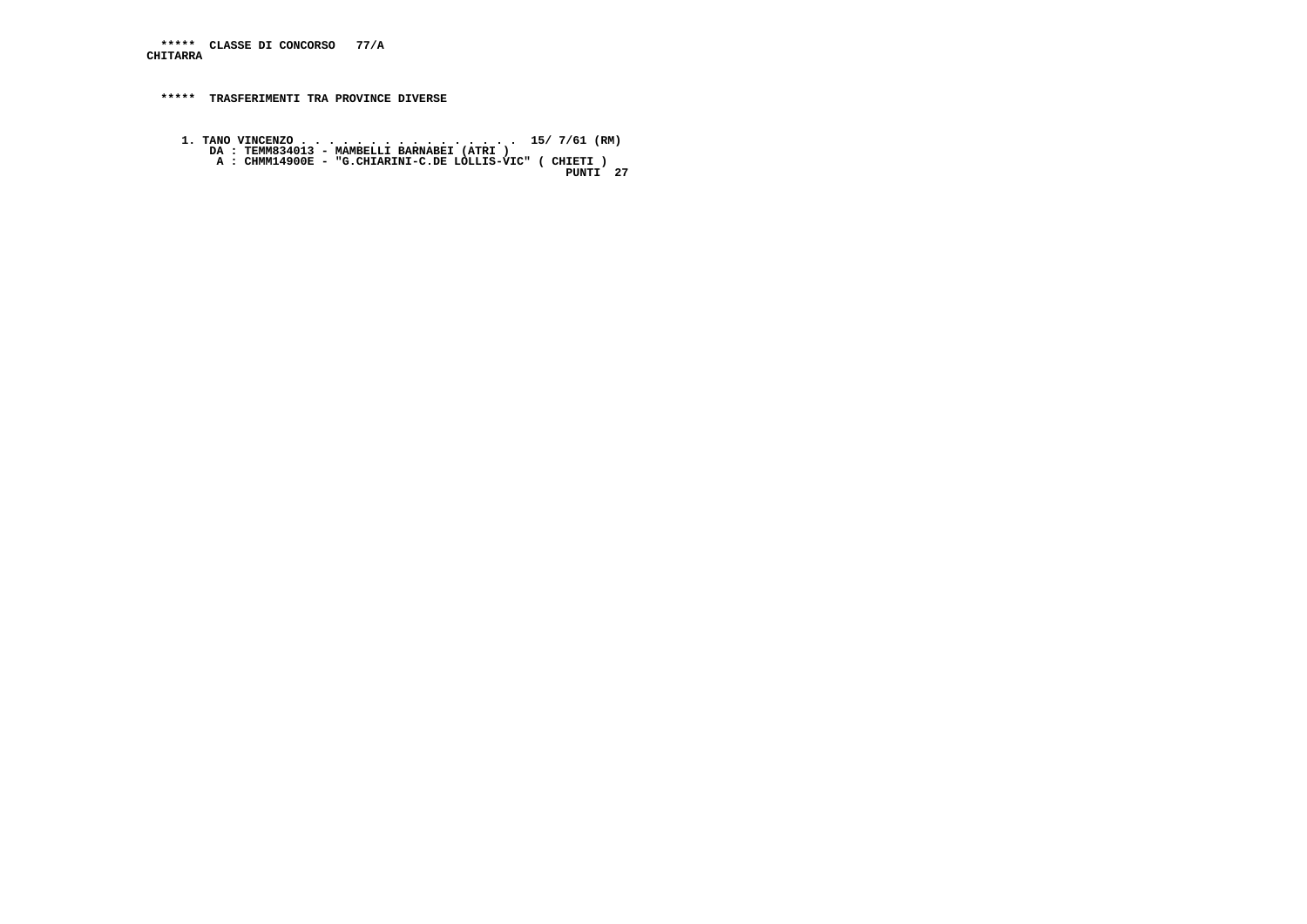**\*\*\*\*\* CLASSE DI CONCORSO 77/A CHITARRA**

 **\*\*\*\*\* TRASFERIMENTI TRA PROVINCE DIVERSE**

 **1. TANO VINCENZO . . . . . . . . . . . . . . . . 15/ 7/61 (RM) DA : TEMM834013 - MAMBELLI BARNABEI (ATRI ) A : CHMM14900E - "G.CHIARINI-C.DE LOLLIS-VIC" ( CHIETI ) PUNTI 27**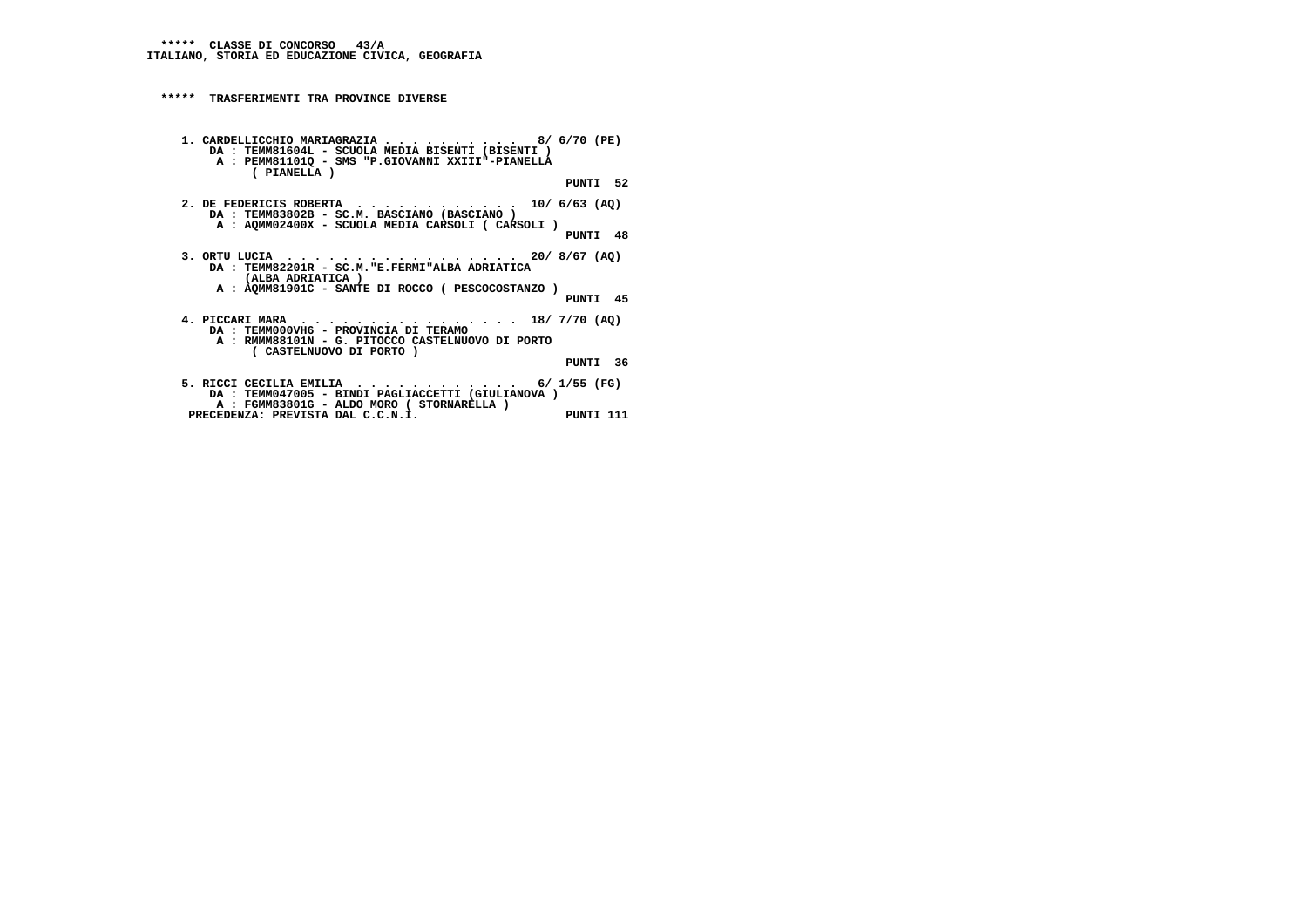**\*\*\*\*\* TRASFERIMENTI TRA PROVINCE DIVERSE 1. CARDELLICCHIO MARIAGRAZIA . . . . . . . . . . 8/ 6/70 (PE) DA : TEMM81604L - SCUOLA MEDIA BISENTI (BISENTI ) A : PEMM81101Q - SMS "P.GIOVANNI XXIII"-PIANELLA ( PIANELLA ) PUNTI 52 2. DE FEDERICIS ROBERTA . . . . . . . . . . . . 10/ 6/63 (AQ) DA : TEMM83802B - SC.M. BASCIANO (BASCIANO ) A : AQMM02400X - SCUOLA MEDIA CARSOLI ( CARSOLI ) PUNTI 48 3. ORTU LUCIA . . . . . . . . . . . . . . . . . 20/ 8/67 (AQ) DA : TEMM82201R - SC.M."E.FERMI"ALBA ADRIATICA (ALBA ADRIATICA ) A : AQMM81901C - SANTE DI ROCCO ( PESCOCOSTANZO ) PUNTI 45 4. PICCARI MARA . . . . . . . . . . . . . . . . 18/ 7/70 (AQ) DA : TEMM000VH6 - PROVINCIA DI TERAMO A : RMMM88101N - G. PITOCCO CASTELNUOVO DI PORTO ( CASTELNUOVO DI PORTO ) PUNTI 36 5. RICCI CECILIA EMILIA . . . . . . . . . . . . 6/ 1/55 (FG) DA : TEMM047005 - BINDI PAGLIACCETTI (GIULIANOVA ) A : FGMM83801G - ALDO MORO ( STORNARELLA ) PRECEDENZA: PREVISTA DAL C.C.N.I. PUNTI 111**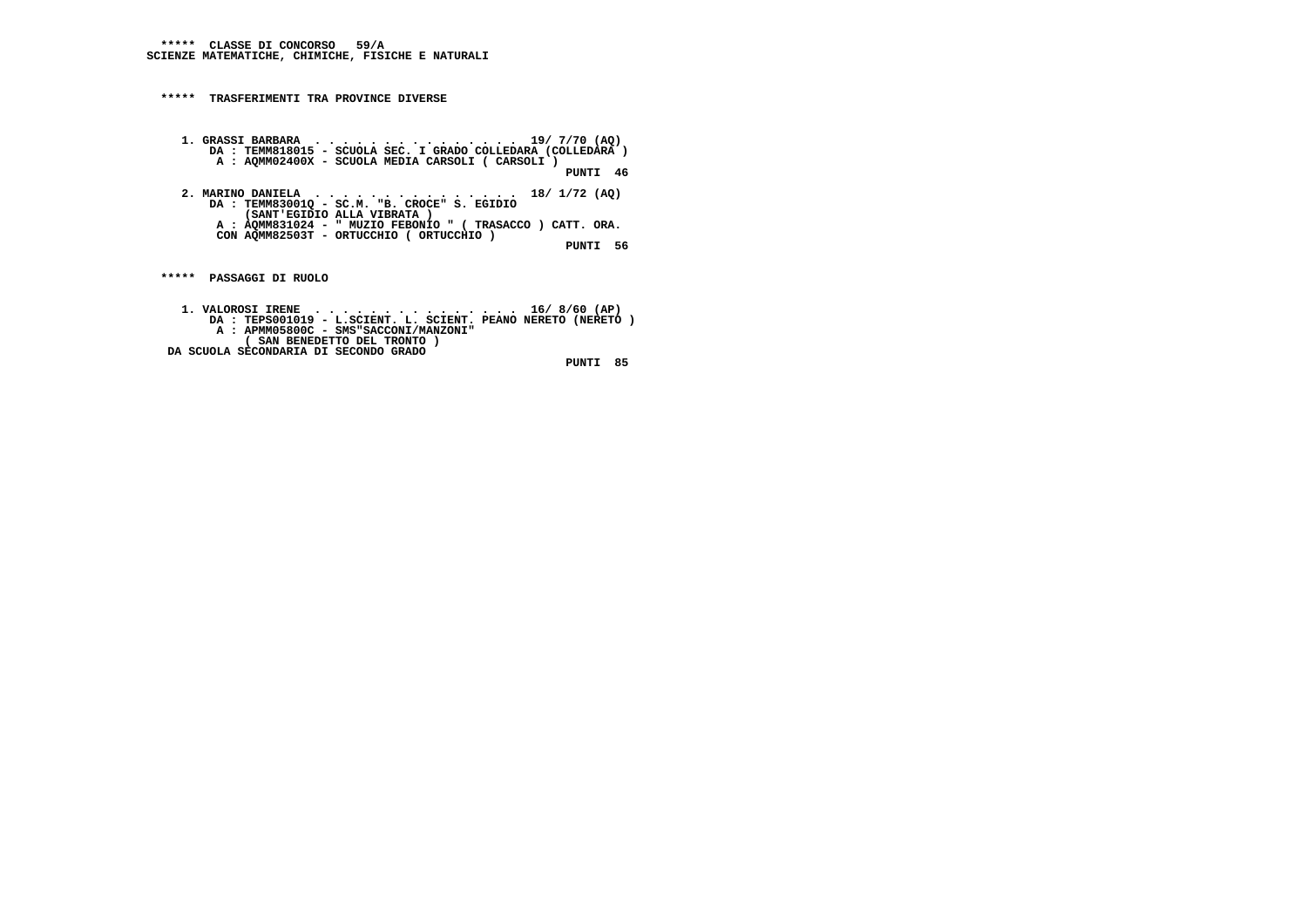**\*\*\*\*\* CLASSE DI CONCORSO 59/A SCIENZE MATEMATICHE, CHIMICHE, FISICHE E NATURALI**

 **\*\*\*\*\* TRASFERIMENTI TRA PROVINCE DIVERSE**

 **1. GRASSI BARBARA . . . . . . . . . . . . . . . 19/ 7/70 (AQ) DA : TEMM818015 - SCUOLA SEC. I GRADO COLLEDARA (COLLEDARA ) A : AQMM02400X - SCUOLA MEDIA CARSOLI ( CARSOLI ) PUNTI 46 2. MARINO DANIELA . . . . . . . . . . . . . . . 18/ 1/72 (AQ) DA : TEMM83001Q - SC.M. "B. CROCE" S. EGIDIO (SANT'EGIDIO ALLA VIBRATA ) A : AQMM831024 - " MUZIO FEBONIO " ( TRASACCO ) CATT. ORA. CON AQMM82503T - ORTUCCHIO ( ORTUCCHIO )**

 **PUNTI 56**

 **\*\*\*\*\* PASSAGGI DI RUOLO**

 **1. VALOROSI IRENE . . . . . . . . . . . . . . . 16/ 8/60 (AP) DA : TEPS001019 - L.SCIENT. L. SCIENT. PEANO NERETO (NERETO ) A : APMM05800C - SMS"SACCONI/MANZONI" ( SAN BENEDETTO DEL TRONTO ) DA SCUOLA SECONDARIA DI SECONDO GRADO PUNTI 85**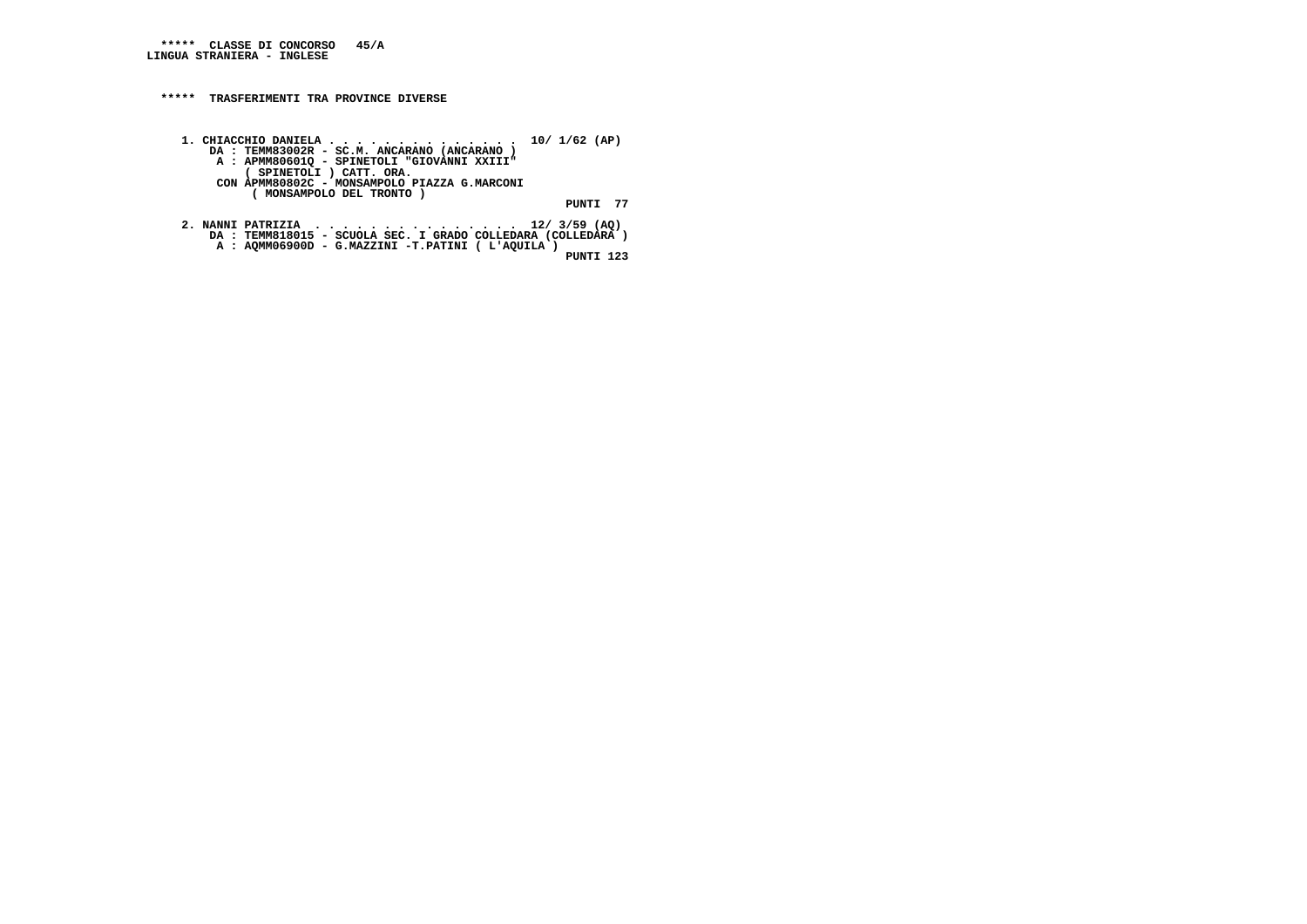## **\*\*\*\*\* TRASFERIMENTI TRA PROVINCE DIVERSE**

 **1. CHIACCHIO DANIELA . . . . . . . . . . . . . . 10/ 1/62 (AP) DA : TEMM83002R - SC.M. ANCARANO (ANCARANO ) A : APMM80601Q - SPINETOLI "GIOVANNI XXIII" ( SPINETOLI ) CATT. ORA. CON APMM80802C - MONSAMPOLO PIAZZA G.MARCONI ( MONSAMPOLO DEL TRONTO ) PUNTI 77**

```

2. NANNI PATRIZIA . . . . . . . . . . . . . . . 12/ 3/59 (AQ)
DA : TEMM818015 - SCUOLA SEC. I GRADO COLLEDARA (COLLEDARA )
A : AQMM06900D - G.MAZZINI -T.PATINI ( L'AQUILA ) PUNTI 123
```